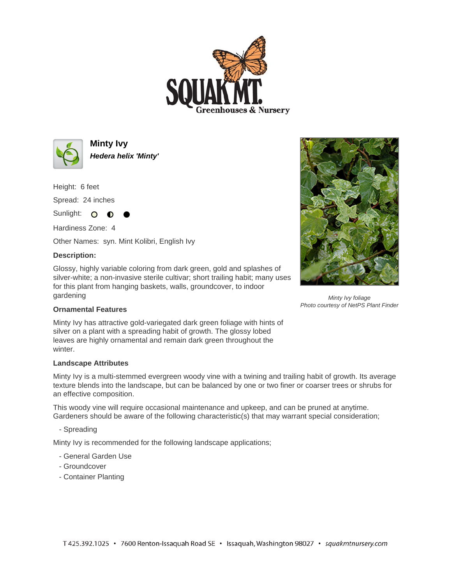



**Minty Ivy Hedera helix 'Minty'**

Height: 6 feet

Spread: 24 inches

Sunlight: O O Hardiness Zone: 4

Other Names: syn. Mint Kolibri, English Ivy

## **Description:**

Glossy, highly variable coloring from dark green, gold and splashes of silver-white; a non-invasive sterile cultivar; short trailing habit; many uses for this plant from hanging baskets, walls, groundcover, to indoor gardening



Minty Ivy foliage Photo courtesy of NetPS Plant Finder

## **Ornamental Features**

Minty Ivy has attractive gold-variegated dark green foliage with hints of silver on a plant with a spreading habit of growth. The glossy lobed leaves are highly ornamental and remain dark green throughout the winter.

## **Landscape Attributes**

Minty Ivy is a multi-stemmed evergreen woody vine with a twining and trailing habit of growth. Its average texture blends into the landscape, but can be balanced by one or two finer or coarser trees or shrubs for an effective composition.

This woody vine will require occasional maintenance and upkeep, and can be pruned at anytime. Gardeners should be aware of the following characteristic(s) that may warrant special consideration;

- Spreading

Minty Ivy is recommended for the following landscape applications;

- General Garden Use
- Groundcover
- Container Planting